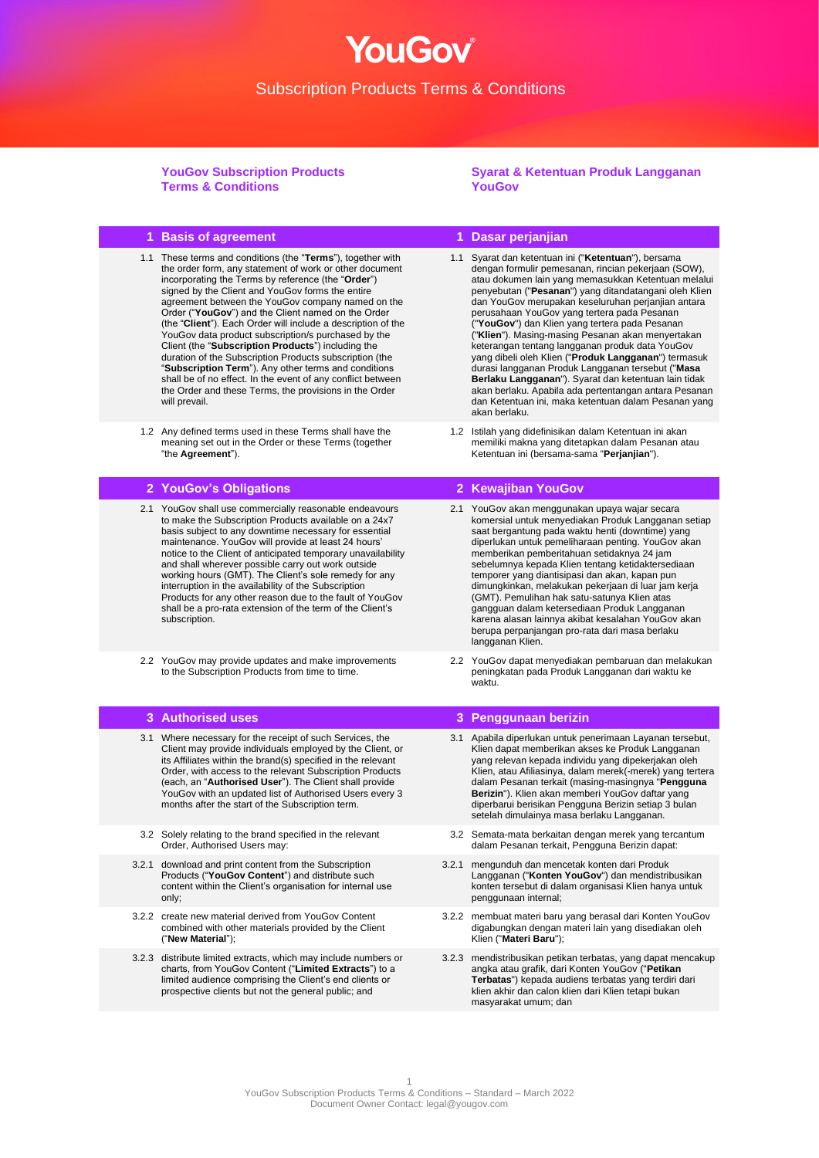**YouGov Subscription Products Terms & Conditions**

**Syarat & Ketentuan Produk Langganan YouGov**

## **1 Basis of agreement 1 Dasar perjanjian**

- 1.1 These terms and conditions (the "**Terms**"), together with the order form, any statement of work or other document incorporating the Terms by reference (the "**Order**") signed by the Client and YouGov forms the entire agreement between the YouGov company named on the Order ("**YouGov**") and the Client named on the Order (the "**Client**"). Each Order will include a description of the YouGov data product subscription/s purchased by the Client (the "**Subscription Products**") including the duration of the Subscription Products subscription (the "**Subscription Term**"). Any other terms and conditions shall be of no effect. In the event of any conflict between the Order and these Terms, the provisions in the Order will prevail.
- 1.2 Any defined terms used in these Terms shall have the meaning set out in the Order or these Terms (together "the **Agreement**").

## **2 YouGov's Obligations 2 Kewajiban YouGov**

- 2.1 YouGov shall use commercially reasonable endeavours to make the Subscription Products available on a 24x7 basis subject to any downtime necessary for essential maintenance. YouGov will provide at least 24 hours' notice to the Client of anticipated temporary unavailability and shall wherever possible carry out work outside working hours (GMT). The Client's sole remedy for any interruption in the availability of the Subscription Products for any other reason due to the fault of YouGov shall be a pro-rata extension of the term of the Client's subscription.
- 2.2 YouGov may provide updates and make improvements to the Subscription Products from time to time.

- 3.1 Where necessary for the receipt of such Services, the Client may provide individuals employed by the Client, or its Affiliates within the brand(s) specified in the relevant Order, with access to the relevant Subscription Products (each, an "**Authorised User**"). The Client shall provide YouGov with an updated list of Authorised Users every 3 months after the start of the Subscription term.
- 3.2 Solely relating to the brand specified in the relevant Order, Authorised Users may:
- 3.2.1 download and print content from the Subscription Products ("**YouGov Content**") and distribute such content within the Client's organisation for internal use only;
- 3.2.2 create new material derived from YouGov Content combined with other materials provided by the Client ("**New Material**");
- 3.2.3 distribute limited extracts, which may include numbers or charts, from YouGov Content ("**Limited Extracts**") to a limited audience comprising the Client's end clients or prospective clients but not the general public; and
- 1.1 Syarat dan ketentuan ini ("**Ketentuan**"), bersama dengan formulir pemesanan, rincian pekerjaan (SOW), atau dokumen lain yang memasukkan Ketentuan melalui penyebutan ("**Pesanan**") yang ditandatangani oleh Klien dan YouGov merupakan keseluruhan perjanjian antara perusahaan YouGov yang tertera pada Pesanan ("**YouGov**") dan Klien yang tertera pada Pesanan ("**Klien**"). Masing-masing Pesanan akan menyertakan keterangan tentang langganan produk data YouGov yang dibeli oleh Klien ("**Produk Langganan**") termasuk durasi langganan Produk Langganan tersebut ("**Masa Berlaku Langganan**"). Syarat dan ketentuan lain tidak akan berlaku. Apabila ada pertentangan antara Pesanan dan Ketentuan ini, maka ketentuan dalam Pesanan yang akan berlaku.
- 1.2 Istilah yang didefinisikan dalam Ketentuan ini akan memiliki makna yang ditetapkan dalam Pesanan atau Ketentuan ini (bersama-sama "**Perjanjian**").

- 2.1 YouGov akan menggunakan upaya wajar secara komersial untuk menyediakan Produk Langganan setiap saat bergantung pada waktu henti (downtime) yang diperlukan untuk pemeliharaan penting. YouGov akan memberikan pemberitahuan setidaknya 24 jam sebelumnya kepada Klien tentang ketidaktersediaan temporer yang diantisipasi dan akan, kapan pun dimungkinkan, melakukan pekerjaan di luar jam kerja (GMT). Pemulihan hak satu-satunya Klien atas gangguan dalam ketersediaan Produk Langganan karena alasan lainnya akibat kesalahan YouGov akan berupa perpanjangan pro-rata dari masa berlaku langganan Klien.
- 2.2 YouGov dapat menyediakan pembaruan dan melakukan peningkatan pada Produk Langganan dari waktu ke waktu.

## **3 Authorised uses 3 Penggunaan berizin**

- 3.1 Apabila diperlukan untuk penerimaan Layanan tersebut, Klien dapat memberikan akses ke Produk Langganan yang relevan kepada individu yang dipekerjakan oleh Klien, atau Afiliasinya, dalam merek(-merek) yang tertera dalam Pesanan terkait (masing-masingnya "**Pengguna Berizin**"). Klien akan memberi YouGov daftar yang diperbarui berisikan Pengguna Berizin setiap 3 bulan setelah dimulainya masa berlaku Langganan.
- 3.2 Semata-mata berkaitan dengan merek yang tercantum dalam Pesanan terkait, Pengguna Berizin dapat:
- 3.2.1 mengunduh dan mencetak konten dari Produk Langganan ("**Konten YouGov**") dan mendistribusikan konten tersebut di dalam organisasi Klien hanya untuk penggunaan internal;
- 3.2.2 membuat materi baru yang berasal dari Konten YouGov digabungkan dengan materi lain yang disediakan oleh Klien ("**Materi Baru**");
- 3.2.3 mendistribusikan petikan terbatas, yang dapat mencakup angka atau grafik, dari Konten YouGov ("**Petikan Terbatas**") kepada audiens terbatas yang terdiri dari klien akhir dan calon klien dari Klien tetapi bukan masyarakat umum; dan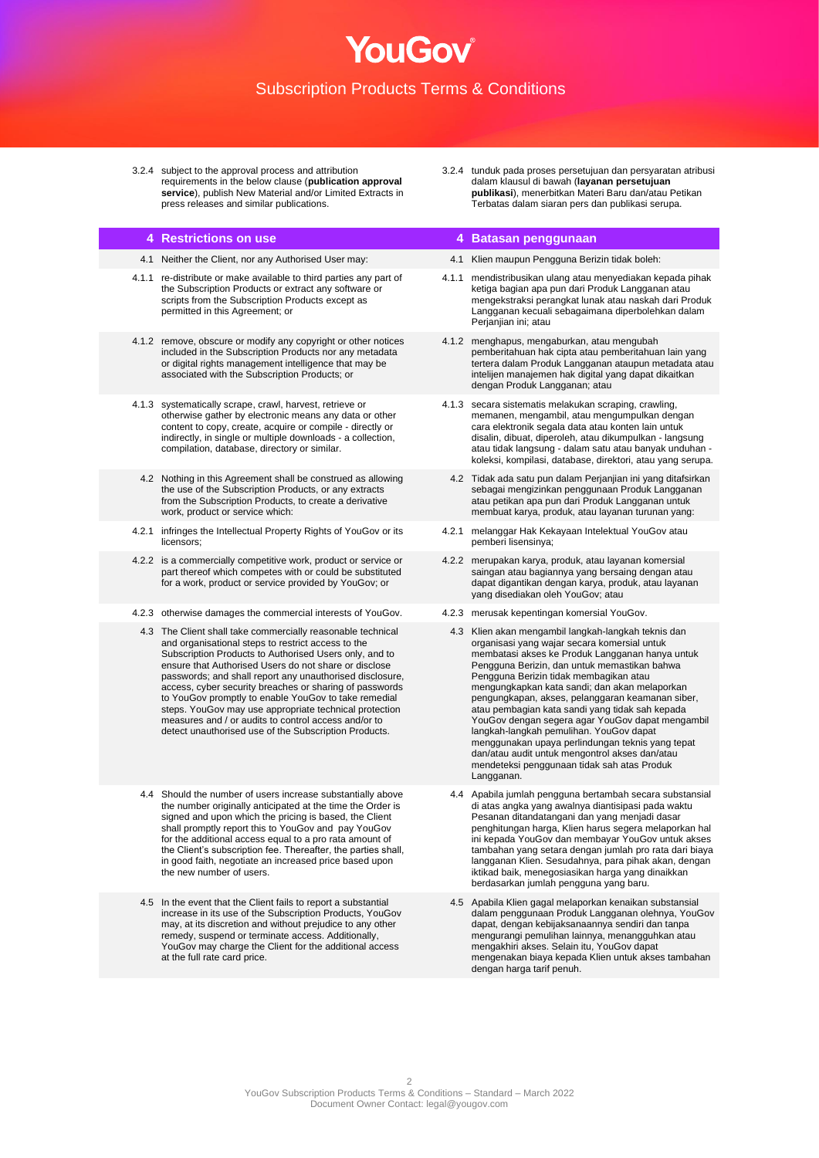3.2.4 subject to the approval process and attribution requirements in the below clause (**publication approval service**), publish New Material and/or Limited Extracts in press releases and similar publications.

### 3.2.4 tunduk pada proses persetujuan dan persyaratan atribusi dalam klausul di bawah (**layanan persetujuan publikasi**), menerbitkan Materi Baru dan/atau Petikan Terbatas dalam siaran pers dan publikasi serupa.

## **4 Restrictions on use 4 Batasan penggunaan**

- 
- 4.1.1 re-distribute or make available to third parties any part of the Subscription Products or extract any software or scripts from the Subscription Products except as permitted in this Agreement; or
- 4.1.2 remove, obscure or modify any copyright or other notices included in the Subscription Products nor any metadata or digital rights management intelligence that may be associated with the Subscription Products; or
- 4.1.3 systematically scrape, crawl, harvest, retrieve or otherwise gather by electronic means any data or other content to copy, create, acquire or compile - directly or indirectly, in single or multiple downloads - a collection, compilation, database, directory or similar.
- 4.2 Nothing in this Agreement shall be construed as allowing the use of the Subscription Products, or any extracts from the Subscription Products, to create a derivative work, product or service which:
- 4.2.1 infringes the Intellectual Property Rights of YouGov or its licensors;
- 4.2.2 is a commercially competitive work, product or service or part thereof which competes with or could be substituted for a work, product or service provided by YouGov; or
- 4.2.3 otherwise damages the commercial interests of YouGov. 4.2.3 merusak kepentingan komersial YouGov.
- 4.3 The Client shall take commercially reasonable technical and organisational steps to restrict access to the Subscription Products to Authorised Users only, and to ensure that Authorised Users do not share or disclose passwords; and shall report any unauthorised disclosure, access, cyber security breaches or sharing of passwords to YouGov promptly to enable YouGov to take remedial steps. YouGov may use appropriate technical protection measures and / or audits to control access and/or to detect unauthorised use of the Subscription Products.
- 4.4 Should the number of users increase substantially above the number originally anticipated at the time the Order is signed and upon which the pricing is based, the Client shall promptly report this to YouGov and pay YouGov for the additional access equal to a pro rata amount of the Client's subscription fee. Thereafter, the parties shall, in good faith, negotiate an increased price based upon the new number of users.
- 4.5 In the event that the Client fails to report a substantial increase in its use of the Subscription Products, YouGov may, at its discretion and without prejudice to any other remedy, suspend or terminate access. Additionally, YouGov may charge the Client for the additional access at the full rate card price.
- 
- 4.1 Neither the Client, nor any Authorised User may: 4.1 Klien maupun Pengguna Berizin tidak boleh:
	- 4.1.1 mendistribusikan ulang atau menyediakan kepada pihak ketiga bagian apa pun dari Produk Langganan atau mengekstraksi perangkat lunak atau naskah dari Produk Langganan kecuali sebagaimana diperbolehkan dalam Perjanjian ini; atau
	- 4.1.2 menghapus, mengaburkan, atau mengubah pemberitahuan hak cipta atau pemberitahuan lain yang tertera dalam Produk Langganan ataupun metadata atau intelijen manajemen hak digital yang dapat dikaitkan dengan Produk Langganan; atau
	- 4.1.3 secara sistematis melakukan scraping, crawling, memanen, mengambil, atau mengumpulkan dengan cara elektronik segala data atau konten lain untuk disalin, dibuat, diperoleh, atau dikumpulkan - langsung atau tidak langsung - dalam satu atau banyak unduhan koleksi, kompilasi, database, direktori, atau yang serupa.
		- 4.2 Tidak ada satu pun dalam Perjanjian ini yang ditafsirkan sebagai mengizinkan penggunaan Produk Langganan atau petikan apa pun dari Produk Langganan untuk membuat karya, produk, atau layanan turunan yang:
	- 4.2.1 melanggar Hak Kekayaan Intelektual YouGov atau pemberi lisensinya;
	- 4.2.2 merupakan karya, produk, atau layanan komersial saingan atau bagiannya yang bersaing dengan atau dapat digantikan dengan karya, produk, atau layanan yang disediakan oleh YouGov; atau
	-
	- 4.3 Klien akan mengambil langkah-langkah teknis dan organisasi yang wajar secara komersial untuk membatasi akses ke Produk Langganan hanya untuk Pengguna Berizin, dan untuk memastikan bahwa Pengguna Berizin tidak membagikan atau mengungkapkan kata sandi; dan akan melaporkan pengungkapan, akses, pelanggaran keamanan siber, atau pembagian kata sandi yang tidak sah kepada YouGov dengan segera agar YouGov dapat mengambil langkah-langkah pemulihan. YouGov dapat menggunakan upaya perlindungan teknis yang tepat dan/atau audit untuk mengontrol akses dan/atau mendeteksi penggunaan tidak sah atas Produk **Langganan**
	- 4.4 Apabila jumlah pengguna bertambah secara substansial di atas angka yang awalnya diantisipasi pada waktu Pesanan ditandatangani dan yang menjadi dasar penghitungan harga, Klien harus segera melaporkan hal ini kepada YouGov dan membayar YouGov untuk akses tambahan yang setara dengan jumlah pro rata dari biaya langganan Klien. Sesudahnya, para pihak akan, dengan iktikad baik, menegosiasikan harga yang dinaikkan berdasarkan jumlah pengguna yang baru.
	- 4.5 Apabila Klien gagal melaporkan kenaikan substansial dalam penggunaan Produk Langganan olehnya, YouGov dapat, dengan kebijaksanaannya sendiri dan tanpa mengurangi pemulihan lainnya, menangguhkan atau mengakhiri akses. Selain itu, YouGov dapat mengenakan biaya kepada Klien untuk akses tambahan dengan harga tarif penuh.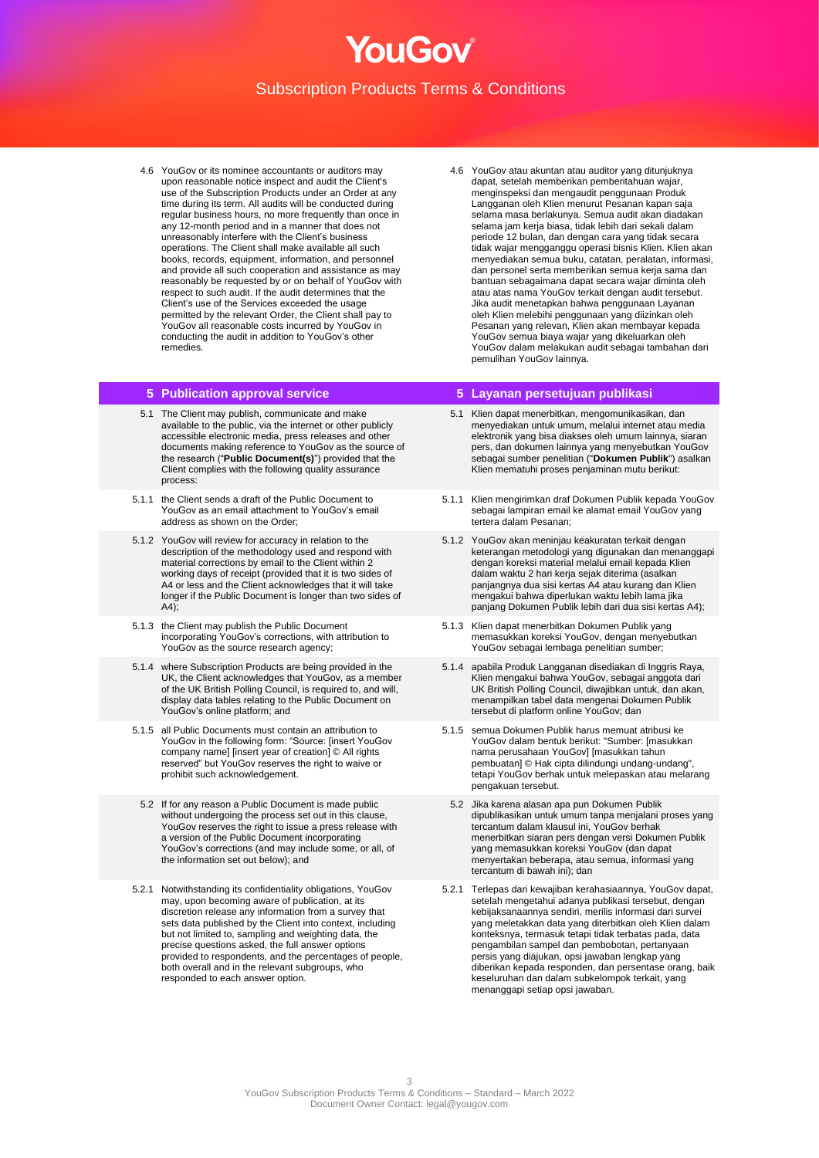4.6 YouGov or its nominee accountants or auditors may upon reasonable notice inspect and audit the Client's use of the Subscription Products under an Order at any time during its term. All audits will be conducted during regular business hours, no more frequently than once in any 12-month period and in a manner that does not unreasonably interfere with the Client's business operations. The Client shall make available all such books, records, equipment, information, and personnel and provide all such cooperation and assistance as may reasonably be requested by or on behalf of YouGov with respect to such audit. If the audit determines that the Client's use of the Services exceeded the usage permitted by the relevant Order, the Client shall pay to YouGov all reasonable costs incurred by YouGov in conducting the audit in addition to YouGov's other remedies.

- 5.1 The Client may publish, communicate and make available to the public, via the internet or other publicly accessible electronic media, press releases and other documents making reference to YouGov as the source of the research ("**Public Document(s)**") provided that the Client complies with the following quality assurance process:
- 5.1.1 the Client sends a draft of the Public Document to YouGov as an email attachment to YouGov's email address as shown on the Order;
- 5.1.2 YouGov will review for accuracy in relation to the description of the methodology used and respond with material corrections by email to the Client within 2 working days of receipt (provided that it is two sides of A4 or less and the Client acknowledges that it will take longer if the Public Document is longer than two sides of A4);
- 5.1.3 the Client may publish the Public Document incorporating YouGov's corrections, with attribution to YouGov as the source research agency;
- 5.1.4 where Subscription Products are being provided in the UK, the Client acknowledges that YouGov, as a member of the UK British Polling Council, is required to, and will, display data tables relating to the Public Document on YouGov's online platform; and
- 5.1.5 all Public Documents must contain an attribution to YouGov in the following form: "Source: [insert YouGov company name] [insert year of creation] © All rights reserved" but YouGov reserves the right to waive or prohibit such acknowledgement.
	- 5.2 If for any reason a Public Document is made public without undergoing the process set out in this clause, YouGov reserves the right to issue a press release with a version of the Public Document incorporating YouGov's corrections (and may include some, or all, of the information set out below); and
- 5.2.1 Notwithstanding its confidentiality obligations, YouGov may, upon becoming aware of publication, at its discretion release any information from a survey that sets data published by the Client into context, including but not limited to, sampling and weighting data, the precise questions asked, the full answer options provided to respondents, and the percentages of people, both overall and in the relevant subgroups, who responded to each answer option.

4.6 YouGov atau akuntan atau auditor yang ditunjuknya dapat, setelah memberikan pemberitahuan wajar, menginspeksi dan mengaudit penggunaan Produk Langganan oleh Klien menurut Pesanan kapan saja selama masa berlakunya. Semua audit akan diadakan selama jam kerja biasa, tidak lebih dari sekali dalam periode 12 bulan, dan dengan cara yang tidak secara tidak wajar mengganggu operasi bisnis Klien. Klien akan menyediakan semua buku, catatan, peralatan, informasi, dan personel serta memberikan semua kerja sama dan bantuan sebagaimana dapat secara wajar diminta oleh atau atas nama YouGov terkait dengan audit tersebut. Jika audit menetapkan bahwa penggunaan Layanan oleh Klien melebihi penggunaan yang diizinkan oleh Pesanan yang relevan, Klien akan membayar kepada YouGov semua biaya wajar yang dikeluarkan oleh YouGov dalam melakukan audit sebagai tambahan dari pemulihan YouGov lainnya.

## **5 Publication approval service 5 Layanan persetujuan publikasi**

- 5.1 Klien dapat menerbitkan, mengomunikasikan, dan menyediakan untuk umum, melalui internet atau media elektronik yang bisa diakses oleh umum lainnya, siaran pers, dan dokumen lainnya yang menyebutkan YouGov sebagai sumber penelitian ("**Dokumen Publik**") asalkan Klien mematuhi proses penjaminan mutu berikut:
- 5.1.1 Klien mengirimkan draf Dokumen Publik kepada YouGov sebagai lampiran email ke alamat email YouGov yang tertera dalam Pesanan;
- 5.1.2 YouGov akan meninjau keakuratan terkait dengan keterangan metodologi yang digunakan dan menanggapi dengan koreksi material melalui email kepada Klien dalam waktu 2 hari kerja sejak diterima (asalkan panjangnya dua sisi kertas A4 atau kurang dan Klien mengakui bahwa diperlukan waktu lebih lama jika panjang Dokumen Publik lebih dari dua sisi kertas A4);
- 5.1.3 Klien dapat menerbitkan Dokumen Publik yang memasukkan koreksi YouGov, dengan menyebutkan YouGov sebagai lembaga penelitian sumber;
- 5.1.4 apabila Produk Langganan disediakan di Inggris Raya, Klien mengakui bahwa YouGov, sebagai anggota dari UK British Polling Council, diwajibkan untuk, dan akan, menampilkan tabel data mengenai Dokumen Publik tersebut di platform online YouGov; dan
- 5.1.5 semua Dokumen Publik harus memuat atribusi ke YouGov dalam bentuk berikut: "Sumber: [masukkan nama perusahaan YouGov] [masukkan tahun pembuatan] © Hak cipta dilindungi undang-undang", tetapi YouGov berhak untuk melepaskan atau melarang pengakuan tersebut.
- 5.2 Jika karena alasan apa pun Dokumen Publik dipublikasikan untuk umum tanpa menjalani proses yang tercantum dalam klausul ini, YouGov berhak menerbitkan siaran pers dengan versi Dokumen Publik yang memasukkan koreksi YouGov (dan dapat menyertakan beberapa, atau semua, informasi yang tercantum di bawah ini); dan
- 5.2.1 Terlepas dari kewajiban kerahasiaannya, YouGov dapat, setelah mengetahui adanya publikasi tersebut, dengan kebijaksanaannya sendiri, merilis informasi dari survei yang meletakkan data yang diterbitkan oleh Klien dalam konteksnya, termasuk tetapi tidak terbatas pada, data pengambilan sampel dan pembobotan, pertanyaan persis yang diajukan, opsi jawaban lengkap yang diberikan kepada responden, dan persentase orang, baik keseluruhan dan dalam subkelompok terkait, yang menanggapi setiap opsi jawaban.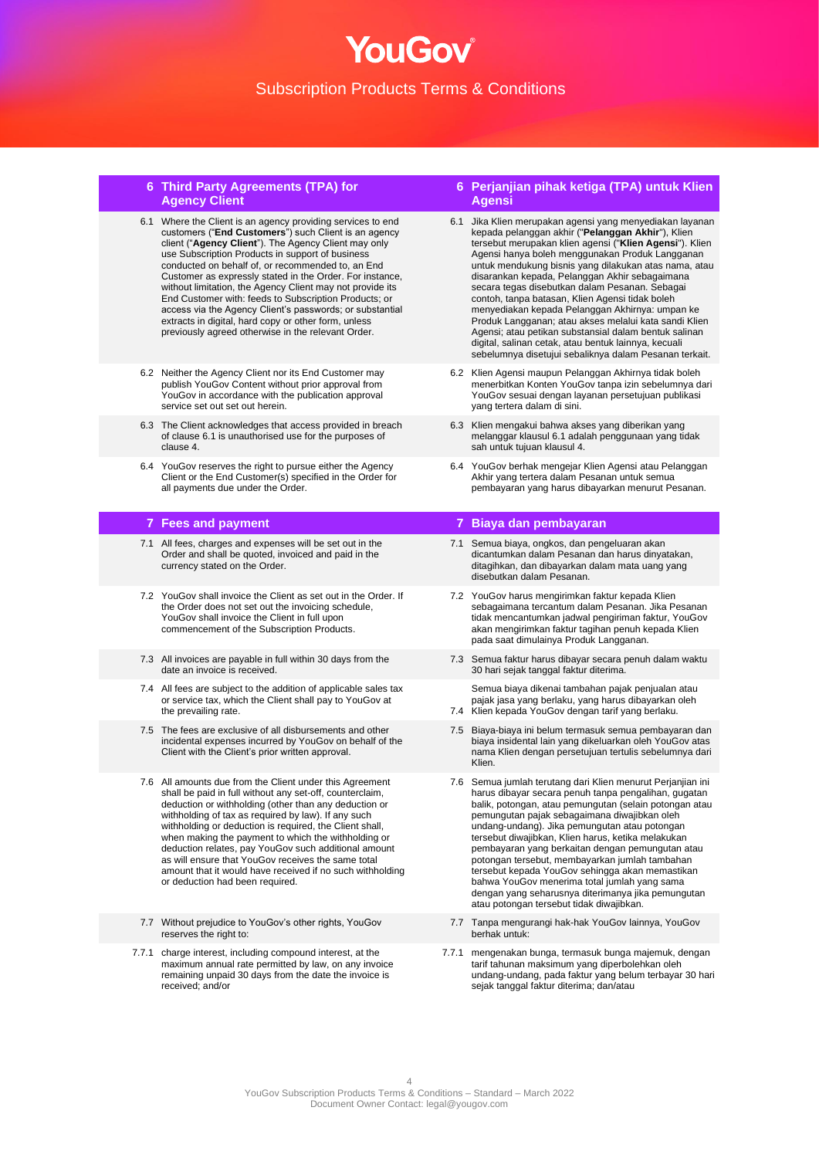## **6 Third Party Agreements (TPA) for Agency Client**

- 6.1 Where the Client is an agency providing services to end customers ("**End Customers**") such Client is an agency client ("**Agency Client**"). The Agency Client may only use Subscription Products in support of business conducted on behalf of, or recommended to, an End Customer as expressly stated in the Order. For instance, without limitation, the Agency Client may not provide its End Customer with: feeds to Subscription Products; or access via the Agency Client's passwords; or substantial extracts in digital, hard copy or other form, unless previously agreed otherwise in the relevant Order.
- 6.2 Neither the Agency Client nor its End Customer may publish YouGov Content without prior approval from YouGov in accordance with the publication approval service set out set out herein.
- 6.3 The Client acknowledges that access provided in breach of clause 6.1 is unauthorised use for the purposes of clause 4.
- 6.4 YouGov reserves the right to pursue either the Agency Client or the End Customer(s) specified in the Order for all payments due under the Order.

- 7.1 All fees, charges and expenses will be set out in the Order and shall be quoted, invoiced and paid in the currency stated on the Order.
- 7.2 YouGov shall invoice the Client as set out in the Order. If the Order does not set out the invoicing schedule, YouGov shall invoice the Client in full upon commencement of the Subscription Products.
- 7.3 All invoices are payable in full within 30 days from the date an invoice is received.
- 7.4 All fees are subject to the addition of applicable sales tax or service tax, which the Client shall pay to YouGov at the prevailing rate.
- 7.5 The fees are exclusive of all disbursements and other incidental expenses incurred by YouGov on behalf of the Client with the Client's prior written approval.
- 7.6 All amounts due from the Client under this Agreement shall be paid in full without any set-off, counterclaim, deduction or withholding (other than any deduction or withholding of tax as required by law). If any such withholding or deduction is required, the Client shall, when making the payment to which the withholding or deduction relates, pay YouGov such additional amount as will ensure that YouGov receives the same total amount that it would have received if no such withholding or deduction had been required.
- 7.7 Without prejudice to YouGov's other rights, YouGov reserves the right to:
- 7.7.1 charge interest, including compound interest, at the maximum annual rate permitted by law, on any invoice remaining unpaid 30 days from the date the invoice is received; and/or

## **6 Perjanjian pihak ketiga (TPA) untuk Klien Agensi**

- 6.1 Jika Klien merupakan agensi yang menyediakan layanan kepada pelanggan akhir ("**Pelanggan Akhir**"), Klien tersebut merupakan klien agensi ("**Klien Agensi**"). Klien Agensi hanya boleh menggunakan Produk Langganan untuk mendukung bisnis yang dilakukan atas nama, atau disarankan kepada, Pelanggan Akhir sebagaimana secara tegas disebutkan dalam Pesanan. Sebagai contoh, tanpa batasan, Klien Agensi tidak boleh menyediakan kepada Pelanggan Akhirnya: umpan ke Produk Langganan; atau akses melalui kata sandi Klien Agensi; atau petikan substansial dalam bentuk salinan digital, salinan cetak, atau bentuk lainnya, kecuali sebelumnya disetujui sebaliknya dalam Pesanan terkait.
- 6.2 Klien Agensi maupun Pelanggan Akhirnya tidak boleh menerbitkan Konten YouGov tanpa izin sebelumnya dari YouGov sesuai dengan layanan persetujuan publikasi yang tertera dalam di sini.
- 6.3 Klien mengakui bahwa akses yang diberikan yang melanggar klausul 6.1 adalah penggunaan yang tidak sah untuk tujuan klausul 4.
- 6.4 YouGov berhak mengejar Klien Agensi atau Pelanggan Akhir yang tertera dalam Pesanan untuk semua pembayaran yang harus dibayarkan menurut Pesanan.

## **7 Fees and payment 7 Biaya dan pembayaran**

- 7.1 Semua biaya, ongkos, dan pengeluaran akan dicantumkan dalam Pesanan dan harus dinyatakan, ditagihkan, dan dibayarkan dalam mata uang yang disebutkan dalam Pesanan.
- 7.2 YouGov harus mengirimkan faktur kepada Klien sebagaimana tercantum dalam Pesanan. Jika Pesanan tidak mencantumkan jadwal pengiriman faktur, YouGov akan mengirimkan faktur tagihan penuh kepada Klien pada saat dimulainya Produk Langganan.
- 7.3 Semua faktur harus dibayar secara penuh dalam waktu 30 hari sejak tanggal faktur diterima.

Semua biaya dikenai tambahan pajak penjualan atau pajak jasa yang berlaku, yang harus dibayarkan oleh

- 7.4 Klien kepada YouGov dengan tarif yang berlaku.
- 7.5 Biaya-biaya ini belum termasuk semua pembayaran dan biaya insidental lain yang dikeluarkan oleh YouGov atas nama Klien dengan persetujuan tertulis sebelumnya dari Klien.
- 7.6 Semua jumlah terutang dari Klien menurut Perjanjian ini harus dibayar secara penuh tanpa pengalihan, gugatan balik, potongan, atau pemungutan (selain potongan atau pemungutan pajak sebagaimana diwajibkan oleh undang-undang). Jika pemungutan atau potongan tersebut diwajibkan, Klien harus, ketika melakukan pembayaran yang berkaitan dengan pemungutan atau potongan tersebut, membayarkan jumlah tambahan tersebut kepada YouGov sehingga akan memastikan bahwa YouGov menerima total jumlah yang sama dengan yang seharusnya diterimanya jika pemungutan atau potongan tersebut tidak diwajibkan.
- 7.7 Tanpa mengurangi hak-hak YouGov lainnya, YouGov berhak untuk:
- 7.7.1 mengenakan bunga, termasuk bunga majemuk, dengan tarif tahunan maksimum yang diperbolehkan oleh undang-undang, pada faktur yang belum terbayar 30 hari sejak tanggal faktur diterima; dan/atau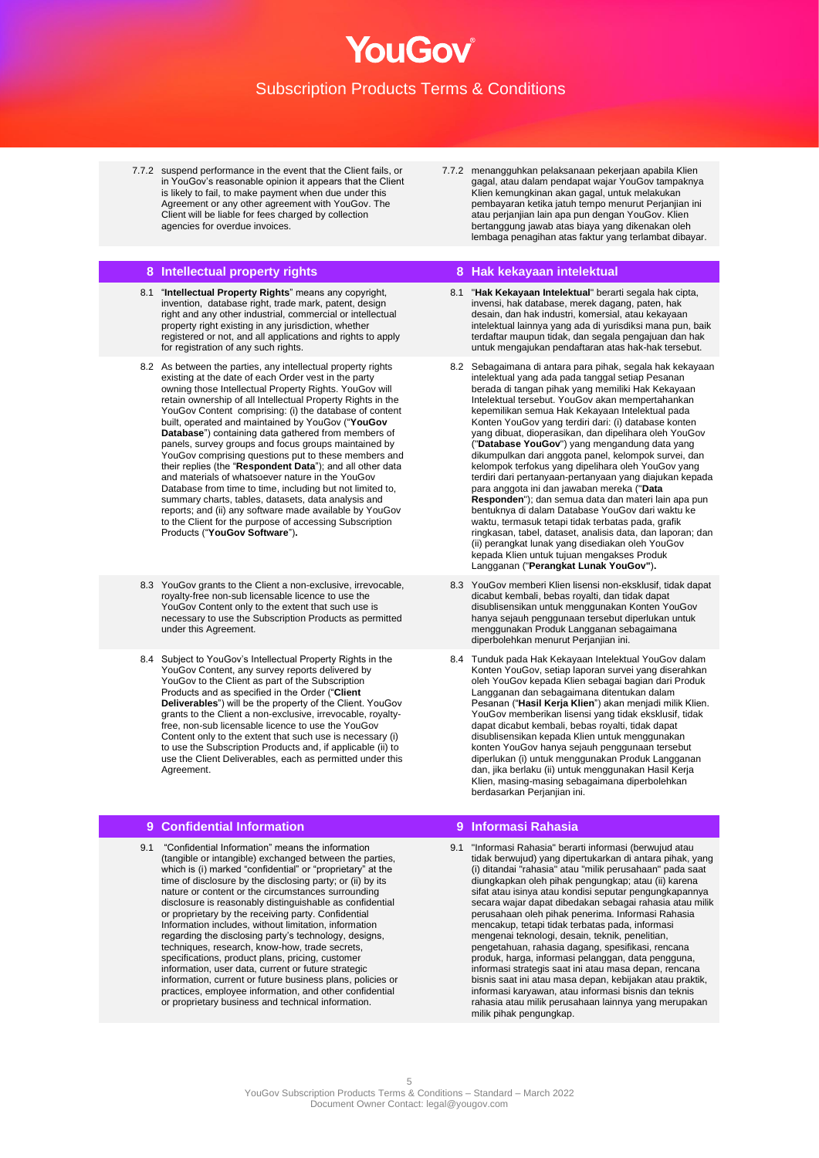7.7.2 suspend performance in the event that the Client fails, or in YouGov's reasonable opinion it appears that the Client is likely to fail, to make payment when due under this Agreement or any other agreement with YouGov. The Client will be liable for fees charged by collection agencies for overdue invoices.

## **8 Intellectual property rights 8 Hak kekayaan intelektual**

- 8.1 "**Intellectual Property Rights**" means any copyright, invention, database right, trade mark, patent, design right and any other industrial, commercial or intellectual property right existing in any jurisdiction, whether registered or not, and all applications and rights to apply for registration of any such rights.
- 8.2 As between the parties, any intellectual property rights existing at the date of each Order vest in the party owning those Intellectual Property Rights. YouGov will retain ownership of all Intellectual Property Rights in the YouGov Content comprising: (i) the database of content built, operated and maintained by YouGov ("**YouGov Database**") containing data gathered from members of panels, survey groups and focus groups maintained by YouGov comprising questions put to these members and their replies (the "**Respondent Data**"); and all other data and materials of whatsoever nature in the YouGov Database from time to time, including but not limited to, summary charts, tables, datasets, data analysis and reports; and (ii) any software made available by YouGov to the Client for the purpose of accessing Subscription Products ("**YouGov Software**")**.**
- 8.3 YouGov grants to the Client a non-exclusive, irrevocable, royalty-free non-sub licensable licence to use the YouGov Content only to the extent that such use is necessary to use the Subscription Products as permitted under this Agreement.
- 8.4 Subject to YouGov's Intellectual Property Rights in the YouGov Content, any survey reports delivered by YouGov to the Client as part of the Subscription Products and as specified in the Order ("**Client Deliverables**") will be the property of the Client. YouGov grants to the Client a non-exclusive, irrevocable, royaltyfree, non-sub licensable licence to use the YouGov Content only to the extent that such use is necessary (i) to use the Subscription Products and, if applicable (ii) to use the Client Deliverables, each as permitted under this Agreement.

## **9 Confidential Information 9 Informasi Rahasia**

9.1 "Confidential Information" means the information (tangible or intangible) exchanged between the parties, which is (i) marked "confidential" or "proprietary" at the time of disclosure by the disclosing party; or (ii) by its nature or content or the circumstances surrounding disclosure is reasonably distinguishable as confidential or proprietary by the receiving party. Confidential Information includes, without limitation, information regarding the disclosing party's technology, designs, techniques, research, know-how, trade secrets, specifications, product plans, pricing, customer information, user data, current or future strategic information, current or future business plans, policies or practices, employee information, and other confidential or proprietary business and technical information.

7.7.2 menangguhkan pelaksanaan pekerjaan apabila Klien gagal, atau dalam pendapat wajar YouGov tampaknya Klien kemungkinan akan gagal, untuk melakukan pembayaran ketika jatuh tempo menurut Perjanjian ini atau perjanjian lain apa pun dengan YouGov. Klien bertanggung jawab atas biaya yang dikenakan oleh lembaga penagihan atas faktur yang terlambat dibayar.

- 8.1 "**Hak Kekayaan Intelektual**" berarti segala hak cipta, invensi, hak database, merek dagang, paten, hak desain, dan hak industri, komersial, atau kekayaan intelektual lainnya yang ada di yurisdiksi mana pun, baik terdaftar maupun tidak, dan segala pengajuan dan hak untuk mengajukan pendaftaran atas hak-hak tersebut.
- 8.2 Sebagaimana di antara para pihak, segala hak kekayaan intelektual yang ada pada tanggal setiap Pesanan berada di tangan pihak yang memiliki Hak Kekayaan Intelektual tersebut. YouGov akan mempertahankan kepemilikan semua Hak Kekayaan Intelektual pada Konten YouGov yang terdiri dari: (i) database konten yang dibuat, dioperasikan, dan dipelihara oleh YouGov ("**Database YouGov**") yang mengandung data yang dikumpulkan dari anggota panel, kelompok survei, dan kelompok terfokus yang dipelihara oleh YouGov yang terdiri dari pertanyaan-pertanyaan yang diajukan kepada para anggota ini dan jawaban mereka ("**Data Responden**"); dan semua data dan materi lain apa pun bentuknya di dalam Database YouGov dari waktu ke waktu, termasuk tetapi tidak terbatas pada, grafik ringkasan, tabel, dataset, analisis data, dan laporan; dan (ii) perangkat lunak yang disediakan oleh YouGov kepada Klien untuk tujuan mengakses Produk Langganan ("**Perangkat Lunak YouGov"**)**.**
- 8.3 YouGov memberi Klien lisensi non-eksklusif, tidak dapat dicabut kembali, bebas royalti, dan tidak dapat disublisensikan untuk menggunakan Konten YouGov hanya sejauh penggunaan tersebut diperlukan untuk menggunakan Produk Langganan sebagaimana diperbolehkan menurut Perjanjian ini.
- 8.4 Tunduk pada Hak Kekayaan Intelektual YouGov dalam Konten YouGov, setiap laporan survei yang diserahkan oleh YouGov kepada Klien sebagai bagian dari Produk Langganan dan sebagaimana ditentukan dalam Pesanan ("**Hasil Kerja Klien**") akan menjadi milik Klien. YouGov memberikan lisensi yang tidak eksklusif, tidak dapat dicabut kembali, bebas royalti, tidak dapat disublisensikan kepada Klien untuk menggunakan konten YouGov hanya sejauh penggunaan tersebut diperlukan (i) untuk menggunakan Produk Langganan dan, jika berlaku (ii) untuk menggunakan Hasil Kerja Klien, masing-masing sebagaimana diperbolehkan berdasarkan Perjanjian ini.

9.1 "Informasi Rahasia" berarti informasi (berwujud atau tidak berwujud) yang dipertukarkan di antara pihak, yang (i) ditandai "rahasia" atau "milik perusahaan" pada saat diungkapkan oleh pihak pengungkap; atau (ii) karena sifat atau isinya atau kondisi seputar pengungkapannya secara wajar dapat dibedakan sebagai rahasia atau milik perusahaan oleh pihak penerima. Informasi Rahasia mencakup, tetapi tidak terbatas pada, informasi mengenai teknologi, desain, teknik, penelitian, pengetahuan, rahasia dagang, spesifikasi, rencana produk, harga, informasi pelanggan, data pengguna, informasi strategis saat ini atau masa depan, rencana bisnis saat ini atau masa depan, kebijakan atau praktik, informasi karyawan, atau informasi bisnis dan teknis rahasia atau milik perusahaan lainnya yang merupakan milik pihak pengungkap.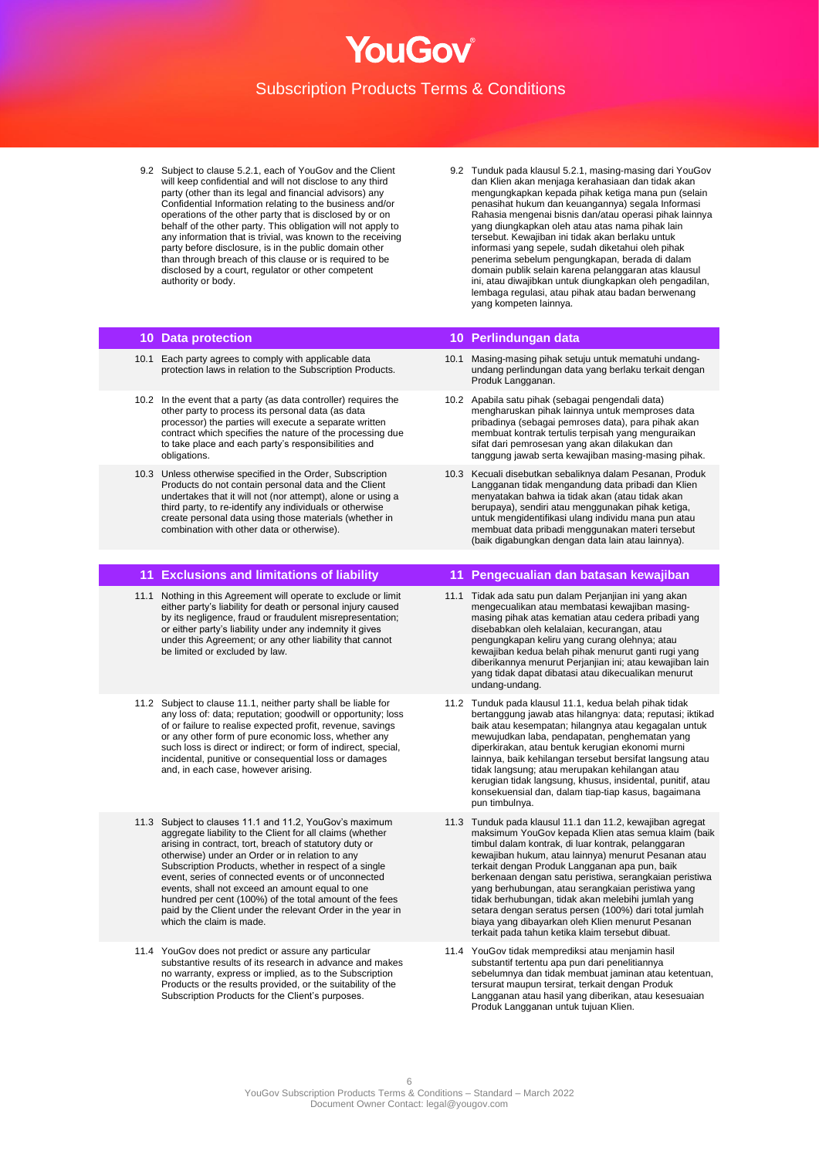

- 9.2 Subject to clause 5.2.1, each of YouGov and the Client will keep confidential and will not disclose to any third party (other than its legal and financial advisors) any Confidential Information relating to the business and/or operations of the other party that is disclosed by or on behalf of the other party. This obligation will not apply to any information that is trivial, was known to the receiving party before disclosure, is in the public domain other than through breach of this clause or is required to be disclosed by a court, regulator or other competent authority or body.
- 9.2 Tunduk pada klausul 5.2.1, masing-masing dari YouGov dan Klien akan menjaga kerahasiaan dan tidak akan mengungkapkan kepada pihak ketiga mana pun (selain penasihat hukum dan keuangannya) segala Informasi Rahasia mengenai bisnis dan/atau operasi pihak lainnya yang diungkapkan oleh atau atas nama pihak lain tersebut. Kewajiban ini tidak akan berlaku untuk informasi yang sepele, sudah diketahui oleh pihak penerima sebelum pengungkapan, berada di dalam domain publik selain karena pelanggaran atas klausul ini, atau diwajibkan untuk diungkapkan oleh pengadilan, lembaga regulasi, atau pihak atau badan berwenang yang kompeten lainnya.

- 10.1 Each party agrees to comply with applicable data protection laws in relation to the Subscription Products.
- 10.2 In the event that a party (as data controller) requires the other party to process its personal data (as data processor) the parties will execute a separate written contract which specifies the nature of the processing due to take place and each party's responsibilities and obligations.
- 10.3 Unless otherwise specified in the Order, Subscription Products do not contain personal data and the Client undertakes that it will not (nor attempt), alone or using a third party, to re-identify any individuals or otherwise create personal data using those materials (whether in combination with other data or otherwise).

- 11.1 Nothing in this Agreement will operate to exclude or limit either party's liability for death or personal injury caused by its negligence, fraud or fraudulent misrepresentation; or either party's liability under any indemnity it gives under this Agreement; or any other liability that cannot be limited or excluded by law.
- 11.2 Subject to clause 11.1, neither party shall be liable for any loss of: data; reputation; goodwill or opportunity; loss of or failure to realise expected profit, revenue, savings or any other form of pure economic loss, whether any such loss is direct or indirect; or form of indirect, special, incidental, punitive or consequential loss or damages and, in each case, however arising.
- 11.3 Subject to clauses 11.1 and 11.2, YouGov's maximum aggregate liability to the Client for all claims (whether arising in contract, tort, breach of statutory duty or otherwise) under an Order or in relation to any Subscription Products, whether in respect of a single event, series of connected events or of unconnected events, shall not exceed an amount equal to one hundred per cent (100%) of the total amount of the fees paid by the Client under the relevant Order in the year in which the claim is made.
- 11.4 YouGov does not predict or assure any particular substantive results of its research in advance and makes no warranty, express or implied, as to the Subscription Products or the results provided, or the suitability of the Subscription Products for the Client's purposes.

## **10 Data protection 10 Perlindungan data**

- 10.1 Masing-masing pihak setuju untuk mematuhi undangundang perlindungan data yang berlaku terkait dengan Produk Langganan.
- 10.2 Apabila satu pihak (sebagai pengendali data) mengharuskan pihak lainnya untuk memproses data pribadinya (sebagai pemroses data), para pihak akan membuat kontrak tertulis terpisah yang menguraikan sifat dari pemrosesan yang akan dilakukan dan tanggung jawab serta kewajiban masing-masing pihak.
- 10.3 Kecuali disebutkan sebaliknya dalam Pesanan, Produk Langganan tidak mengandung data pribadi dan Klien menyatakan bahwa ia tidak akan (atau tidak akan berupaya), sendiri atau menggunakan pihak ketiga, untuk mengidentifikasi ulang individu mana pun atau membuat data pribadi menggunakan materi tersebut (baik digabungkan dengan data lain atau lainnya).

## **11 Exclusions and limitations of liability 11 Pengecualian dan batasan kewajiban**

- 11.1 Tidak ada satu pun dalam Perjanjian ini yang akan mengecualikan atau membatasi kewajiban masingmasing pihak atas kematian atau cedera pribadi yang disebabkan oleh kelalaian, kecurangan, atau pengungkapan keliru yang curang olehnya; atau kewajiban kedua belah pihak menurut ganti rugi yang diberikannya menurut Perjanjian ini; atau kewajiban lain yang tidak dapat dibatasi atau dikecualikan menurut undang-undang.
- 11.2 Tunduk pada klausul 11.1, kedua belah pihak tidak bertanggung jawab atas hilangnya: data; reputasi; iktikad baik atau kesempatan; hilangnya atau kegagalan untuk mewujudkan laba, pendapatan, penghematan yang diperkirakan, atau bentuk kerugian ekonomi murni lainnya, baik kehilangan tersebut bersifat langsung atau tidak langsung; atau merupakan kehilangan atau kerugian tidak langsung, khusus, insidental, punitif, atau konsekuensial dan, dalam tiap-tiap kasus, bagaimana pun timbulnya.
- 11.3 Tunduk pada klausul 11.1 dan 11.2, kewajiban agregat maksimum YouGov kepada Klien atas semua klaim (baik timbul dalam kontrak, di luar kontrak, pelanggaran kewajiban hukum, atau lainnya) menurut Pesanan atau terkait dengan Produk Langganan apa pun, baik berkenaan dengan satu peristiwa, serangkaian peristiwa yang berhubungan, atau serangkaian peristiwa yang tidak berhubungan, tidak akan melebihi jumlah yang setara dengan seratus persen (100%) dari total jumlah biaya yang dibayarkan oleh Klien menurut Pesanan terkait pada tahun ketika klaim tersebut dibuat.
- 11.4 YouGov tidak memprediksi atau menjamin hasil substantif tertentu apa pun dari penelitiannya sebelumnya dan tidak membuat jaminan atau ketentuan, tersurat maupun tersirat, terkait dengan Produk Langganan atau hasil yang diberikan, atau kesesuaian Produk Langganan untuk tujuan Klien.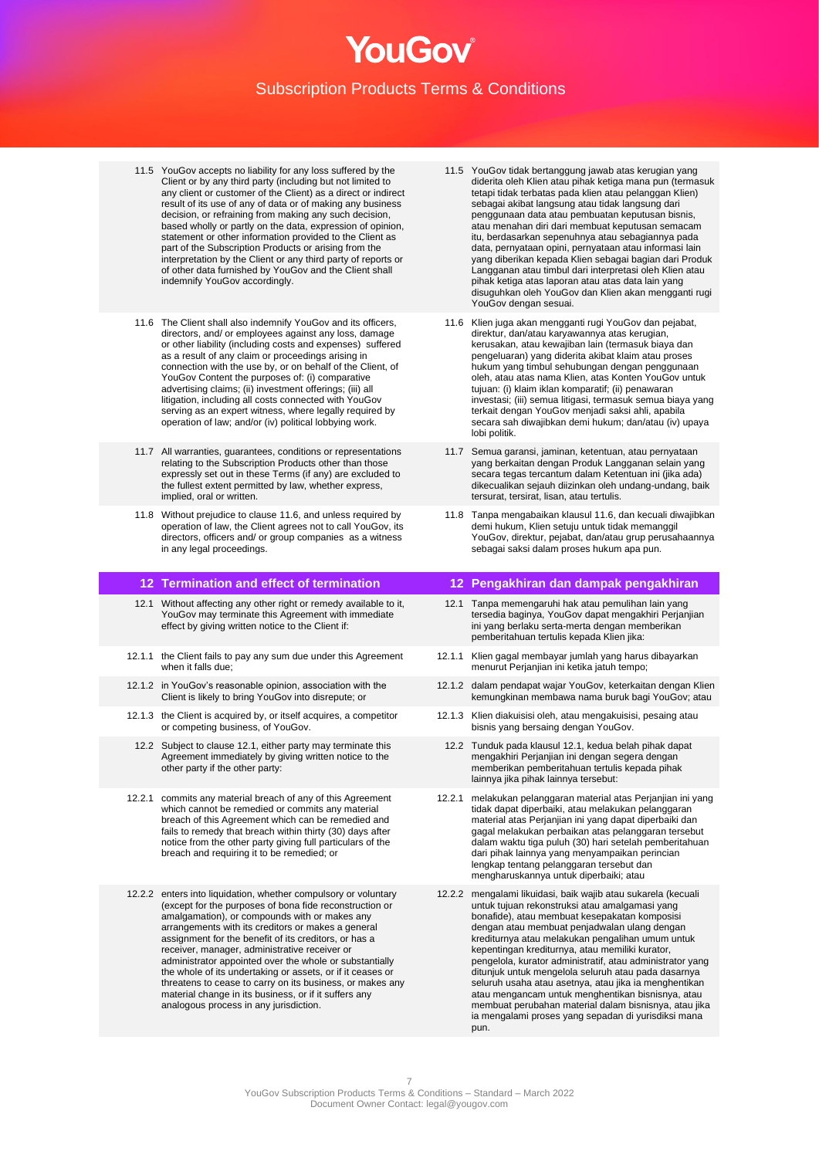- 11.5 YouGov accepts no liability for any loss suffered by the Client or by any third party (including but not limited to any client or customer of the Client) as a direct or indirect result of its use of any of data or of making any business decision, or refraining from making any such decision, based wholly or partly on the data, expression of opinion, statement or other information provided to the Client as part of the Subscription Products or arising from the interpretation by the Client or any third party of reports or of other data furnished by YouGov and the Client shall indemnify YouGov accordingly.
- 11.6 The Client shall also indemnify YouGov and its officers, directors, and/ or employees against any loss, damage or other liability (including costs and expenses) suffered as a result of any claim or proceedings arising in connection with the use by, or on behalf of the Client, of YouGov Content the purposes of: (i) comparative advertising claims; (ii) investment offerings; (iii) all litigation, including all costs connected with YouGov serving as an expert witness, where legally required by operation of law; and/or (iv) political lobbying work.
- 11.7 All warranties, guarantees, conditions or representations relating to the Subscription Products other than those expressly set out in these Terms (if any) are excluded to the fullest extent permitted by law, whether express, implied, oral or written.
- 11.8 Without prejudice to clause 11.6, and unless required by operation of law, the Client agrees not to call YouGov, its directors, officers and/ or group companies as a witness in any legal proceedings.

- 12.1 Without affecting any other right or remedy available to it, YouGov may terminate this Agreement with immediate effect by giving written notice to the Client if:
- 12.1.1 the Client fails to pay any sum due under this Agreement when it falls due;
- 12.1.2 in YouGov's reasonable opinion, association with the Client is likely to bring YouGov into disrepute; or
- 12.1.3 the Client is acquired by, or itself acquires, a competitor or competing business, of YouGov.
- 12.2 Subject to clause 12.1, either party may terminate this Agreement immediately by giving written notice to the other party if the other party:
- 12.2.1 commits any material breach of any of this Agreement which cannot be remedied or commits any material breach of this Agreement which can be remedied and fails to remedy that breach within thirty (30) days after notice from the other party giving full particulars of the breach and requiring it to be remedied; or
- 12.2.2 enters into liquidation, whether compulsory or voluntary (except for the purposes of bona fide reconstruction or amalgamation), or compounds with or makes any arrangements with its creditors or makes a general assignment for the benefit of its creditors, or has a receiver, manager, administrative receiver or administrator appointed over the whole or substantially the whole of its undertaking or assets, or if it ceases or threatens to cease to carry on its business, or makes any material change in its business, or if it suffers any analogous process in any jurisdiction.
- 11.5 YouGov tidak bertanggung jawab atas kerugian yang diderita oleh Klien atau pihak ketiga mana pun (termasuk tetapi tidak terbatas pada klien atau pelanggan Klien) sebagai akibat langsung atau tidak langsung dari penggunaan data atau pembuatan keputusan bisnis, atau menahan diri dari membuat keputusan semacam itu, berdasarkan sepenuhnya atau sebagiannya pada data, pernyataan opini, pernyataan atau informasi lain yang diberikan kepada Klien sebagai bagian dari Produk Langganan atau timbul dari interpretasi oleh Klien atau pihak ketiga atas laporan atau atas data lain yang disuguhkan oleh YouGov dan Klien akan mengganti rugi YouGov dengan sesuai.
- 11.6 Klien juga akan mengganti rugi YouGov dan pejabat, direktur, dan/atau karyawannya atas kerugian, kerusakan, atau kewajiban lain (termasuk biaya dan pengeluaran) yang diderita akibat klaim atau proses hukum yang timbul sehubungan dengan penggunaan oleh, atau atas nama Klien, atas Konten YouGov untuk tujuan: (i) klaim iklan komparatif; (ii) penawaran investasi; (iii) semua litigasi, termasuk semua biaya yang terkait dengan YouGov menjadi saksi ahli, apabila secara sah diwajibkan demi hukum; dan/atau (iv) upaya lobi politik.
- 11.7 Semua garansi, jaminan, ketentuan, atau pernyataan yang berkaitan dengan Produk Langganan selain yang secara tegas tercantum dalam Ketentuan ini (jika ada) dikecualikan sejauh diizinkan oleh undang-undang, baik tersurat, tersirat, lisan, atau tertulis.
- 11.8 Tanpa mengabaikan klausul 11.6, dan kecuali diwajibkan demi hukum, Klien setuju untuk tidak memanggil YouGov, direktur, pejabat, dan/atau grup perusahaannya sebagai saksi dalam proses hukum apa pun.

# **12 Termination and effect of termination 12 Pengakhiran dan dampak pengakhiran**

- 12.1 Tanpa memengaruhi hak atau pemulihan lain yang tersedia baginya, YouGov dapat mengakhiri Perjanjian ini yang berlaku serta-merta dengan memberikan pemberitahuan tertulis kepada Klien jika:
- 12.1.1 Klien gagal membayar jumlah yang harus dibayarkan menurut Perjanjian ini ketika jatuh tempo;
- 12.1.2 dalam pendapat wajar YouGov, keterkaitan dengan Klien kemungkinan membawa nama buruk bagi YouGov; atau
- 12.1.3 Klien diakuisisi oleh, atau mengakuisisi, pesaing atau bisnis yang bersaing dengan YouGov.
	- 12.2 Tunduk pada klausul 12.1, kedua belah pihak dapat mengakhiri Perjanjian ini dengan segera dengan memberikan pemberitahuan tertulis kepada pihak lainnya jika pihak lainnya tersebut:
- 12.2.1 melakukan pelanggaran material atas Perjanjian ini yang tidak dapat diperbaiki, atau melakukan pelanggaran material atas Perjanjian ini yang dapat diperbaiki dan gagal melakukan perbaikan atas pelanggaran tersebut dalam waktu tiga puluh (30) hari setelah pemberitahuan dari pihak lainnya yang menyampaikan perincian lengkap tentang pelanggaran tersebut dan mengharuskannya untuk diperbaiki; atau
- 12.2.2 mengalami likuidasi, baik wajib atau sukarela (kecuali untuk tujuan rekonstruksi atau amalgamasi yang bonafide), atau membuat kesepakatan komposisi dengan atau membuat penjadwalan ulang dengan krediturnya atau melakukan pengalihan umum untuk kepentingan krediturnya, atau memiliki kurator, pengelola, kurator administratif, atau administrator yang ditunjuk untuk mengelola seluruh atau pada dasarnya seluruh usaha atau asetnya, atau jika ia menghentikan atau mengancam untuk menghentikan bisnisnya, atau membuat perubahan material dalam bisnisnya, atau jika ia mengalami proses yang sepadan di yurisdiksi mana pun.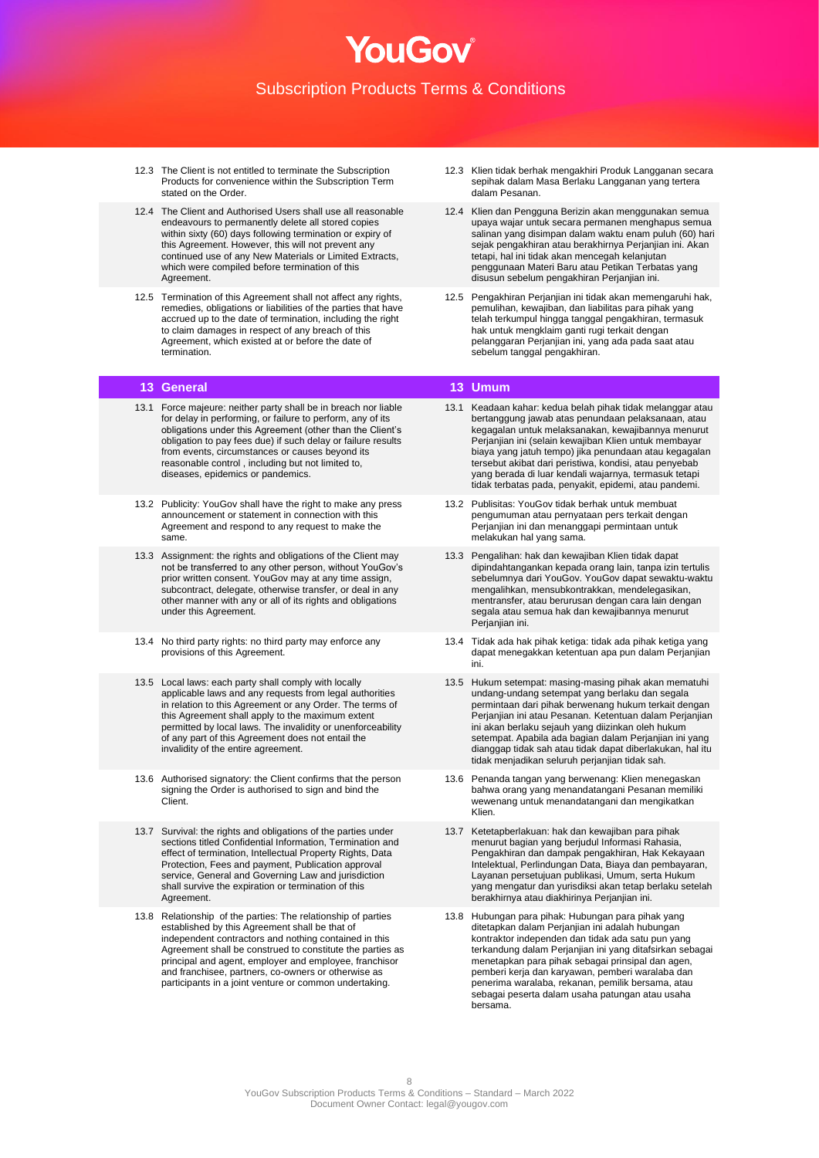- 12.3 The Client is not entitled to terminate the Subscription Products for convenience within the Subscription Term stated on the Order.
- 12.4 The Client and Authorised Users shall use all reasonable endeavours to permanently delete all stored copies within sixty (60) days following termination or expiry of this Agreement. However, this will not prevent any continued use of any New Materials or Limited Extracts, which were compiled before termination of this Agreement.
- 12.5 Termination of this Agreement shall not affect any rights, remedies, obligations or liabilities of the parties that have accrued up to the date of termination, including the right to claim damages in respect of any breach of this Agreement, which existed at or before the date of termination.

- 13.1 Force majeure: neither party shall be in breach nor liable for delay in performing, or failure to perform, any of its obligations under this Agreement (other than the Client's obligation to pay fees due) if such delay or failure results from events, circumstances or causes beyond its reasonable control , including but not limited to, diseases, epidemics or pandemics.
- 13.2 Publicity: YouGov shall have the right to make any press announcement or statement in connection with this Agreement and respond to any request to make the same.
- 13.3 Assignment: the rights and obligations of the Client may not be transferred to any other person, without YouGov's prior written consent. YouGov may at any time assign, subcontract, delegate, otherwise transfer, or deal in any other manner with any or all of its rights and obligations under this Agreement.
- 13.4 No third party rights: no third party may enforce any provisions of this Agreement.
- 13.5 Local laws: each party shall comply with locally applicable laws and any requests from legal authorities in relation to this Agreement or any Order. The terms of this Agreement shall apply to the maximum extent permitted by local laws. The invalidity or unenforceability of any part of this Agreement does not entail the invalidity of the entire agreement.
- 13.6 Authorised signatory: the Client confirms that the person signing the Order is authorised to sign and bind the Client<sup>.</sup>
- 13.7 Survival: the rights and obligations of the parties under sections titled Confidential Information, Termination and effect of termination, Intellectual Property Rights, Data Protection, Fees and payment, Publication approval service, General and Governing Law and jurisdiction shall survive the expiration or termination of this Agreement.
- 13.8 Relationship of the parties: The relationship of parties established by this Agreement shall be that of independent contractors and nothing contained in this Agreement shall be construed to constitute the parties as principal and agent, employer and employee, franchisor and franchisee, partners, co-owners or otherwise as participants in a joint venture or common undertaking.
- 12.3 Klien tidak berhak mengakhiri Produk Langganan secara sepihak dalam Masa Berlaku Langganan yang tertera dalam Pesanan.
- 12.4 Klien dan Pengguna Berizin akan menggunakan semua upaya wajar untuk secara permanen menghapus semua salinan yang disimpan dalam waktu enam puluh (60) hari sejak pengakhiran atau berakhirnya Perjanjian ini. Akan tetapi, hal ini tidak akan mencegah kelanjutan penggunaan Materi Baru atau Petikan Terbatas yang disusun sebelum pengakhiran Perjanjian ini.
- 12.5 Pengakhiran Perjanjian ini tidak akan memengaruhi hak, pemulihan, kewajiban, dan liabilitas para pihak yang telah terkumpul hingga tanggal pengakhiran, termasuk hak untuk mengklaim ganti rugi terkait dengan pelanggaran Perjanjian ini, yang ada pada saat atau sebelum tanggal pengakhiran.

## **13 General 13 Umum**

- 13.1 Keadaan kahar: kedua belah pihak tidak melanggar atau bertanggung jawab atas penundaan pelaksanaan, atau kegagalan untuk melaksanakan, kewajibannya menurut Perjanjian ini (selain kewajiban Klien untuk membayar biaya yang jatuh tempo) jika penundaan atau kegagalan tersebut akibat dari peristiwa, kondisi, atau penyebab yang berada di luar kendali wajarnya, termasuk tetapi tidak terbatas pada, penyakit, epidemi, atau pandemi.
- 13.2 Publisitas: YouGov tidak berhak untuk membuat pengumuman atau pernyataan pers terkait dengan Perjanjian ini dan menanggapi permintaan untuk melakukan hal yang sama.
- 13.3 Pengalihan: hak dan kewajiban Klien tidak dapat dipindahtangankan kepada orang lain, tanpa izin tertulis sebelumnya dari YouGov. YouGov dapat sewaktu-waktu mengalihkan, mensubkontrakkan, mendelegasikan, mentransfer, atau berurusan dengan cara lain dengan segala atau semua hak dan kewajibannya menurut Perjanjian ini.
- 13.4 Tidak ada hak pihak ketiga: tidak ada pihak ketiga yang dapat menegakkan ketentuan apa pun dalam Perjanjian ini.
- 13.5 Hukum setempat: masing-masing pihak akan mematuhi undang-undang setempat yang berlaku dan segala permintaan dari pihak berwenang hukum terkait dengan Perjanjian ini atau Pesanan. Ketentuan dalam Perjanjian ini akan berlaku sejauh yang diizinkan oleh hukum setempat. Apabila ada bagian dalam Perjanjian ini yang dianggap tidak sah atau tidak dapat diberlakukan, hal itu tidak menjadikan seluruh perjanjian tidak sah.
- 13.6 Penanda tangan yang berwenang: Klien menegaskan bahwa orang yang menandatangani Pesanan memiliki wewenang untuk menandatangani dan mengikatkan Klien.
- 13.7 Ketetapberlakuan: hak dan kewajiban para pihak menurut bagian yang berjudul Informasi Rahasia, Pengakhiran dan dampak pengakhiran, Hak Kekayaan Intelektual, Perlindungan Data, Biaya dan pembayaran, Layanan persetujuan publikasi, Umum, serta Hukum yang mengatur dan yurisdiksi akan tetap berlaku setelah berakhirnya atau diakhirinya Perjanjian ini.
- 13.8 Hubungan para pihak: Hubungan para pihak yang ditetapkan dalam Perjanjian ini adalah hubungan kontraktor independen dan tidak ada satu pun yang terkandung dalam Perjanjian ini yang ditafsirkan sebagai menetapkan para pihak sebagai prinsipal dan agen, pemberi kerja dan karyawan, pemberi waralaba dan penerima waralaba, rekanan, pemilik bersama, atau sebagai peserta dalam usaha patungan atau usaha bersama.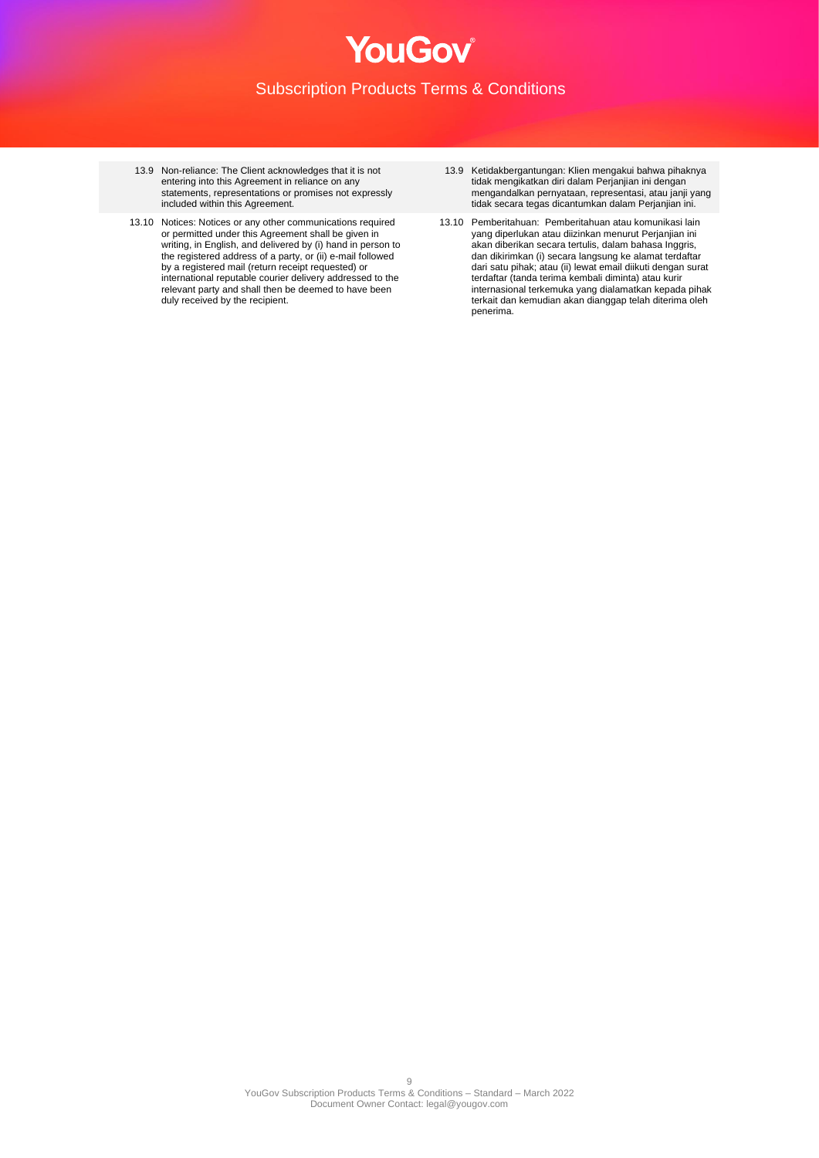- 13.9 Non-reliance: The Client acknowledges that it is not entering into this Agreement in reliance on any statements, representations or promises not expressly included within this Agreement.
- 13.10 Notices: Notices or any other communications required or permitted under this Agreement shall be given in writing, in English, and delivered by (i) hand in person to the registered address of a party, or (ii) e-mail followed by a registered mail (return receipt requested) or international reputable courier delivery addressed to the relevant party and shall then be deemed to have been duly received by the recipient.
- 13.9 Ketidakbergantungan: Klien mengakui bahwa pihaknya tidak mengikatkan diri dalam Perjanjian ini dengan mengandalkan pernyataan, representasi, atau janji yang tidak secara tegas dicantumkan dalam Perjanjian ini.
- 13.10 Pemberitahuan: Pemberitahuan atau komunikasi lain yang diperlukan atau diizinkan menurut Perjanjian ini akan diberikan secara tertulis, dalam bahasa Inggris, dan dikirimkan (i) secara langsung ke alamat terdaftar dari satu pihak; atau (ii) lewat email diikuti dengan surat terdaftar (tanda terima kembali diminta) atau kurir internasional terkemuka yang dialamatkan kepada pihak terkait dan kemudian akan dianggap telah diterima oleh penerima.